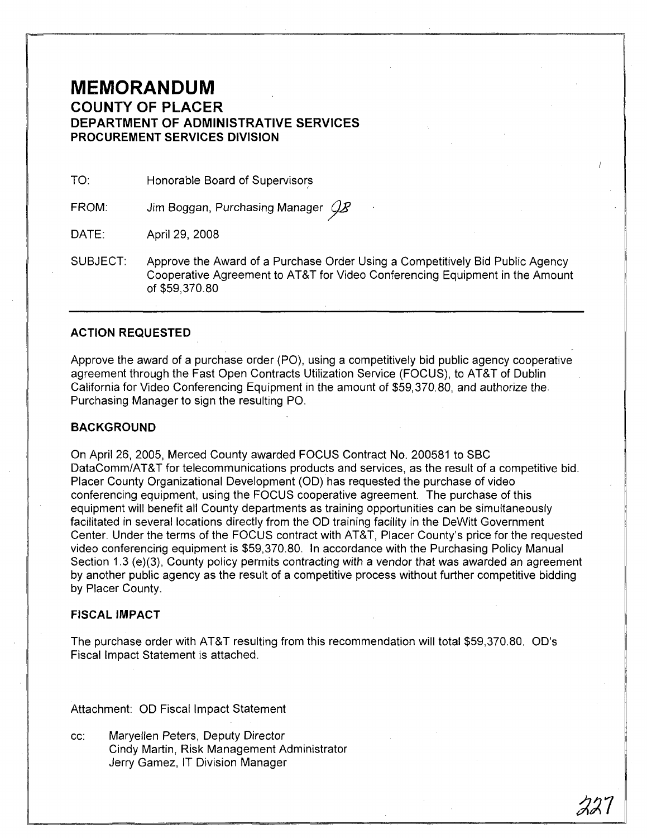## **MEMORANDUM COUNTY OF PLACER DEPARTMENT OF ADMINISTRATIVE SERVICES PROCUREMENT SERVICES DIVISION**

TO: Honorable Board of Supervisors

FROM: Jim Boggan, Purchasing Manager  $\mathcal{Q}B$ 

DATE: April 29, 2008

SUBJECT: Approve the Award of a Purchase Order Using a Competitively Bid Public Agency Cooperative Agreement to AT&T for Video Conferencing Equipment in the Amount of \$59,370.80

### **ACTION REQUESTED**

Approve the award of a purchase order (PO), using a competitively bid public agency cooperative agreement through the Fast Open Contracts Utilization Service (FOCUS), to AT&T of Dublin California for Video Conferencing Equipment in the amount of \$59,370.80, and authorize the. Purchasing Manager to sign the resulting PO.

#### **BACKGROUND**

On April 26,2005, Merced County awarded FOCUS Contract No. 200581 to SBC DataComm/AT&T for telecommunications products and services, as the result of a competitive bid. Placer County Organizational Development (00) has requested the purchase of video conferencing equipment, using the FOCUS cooperative agreement. The purchase of this equipment will benefit all County departments as training opportunities can be simultaneously facilitated in several locations directly from the 00 training facility in the DeWitt Government Center. Under the terms of the FOCUS contract with AT&T, Placer County's price for the requested video conferencing equipment is \$59,370.80. In accordance with the Purchasing Policy Manual Section 1.3 (e)(3), County policy permits contracting with a vendor that was awarded an agreement by another public agency as the result of a competitive process without further competitive bidding by Placer County.

#### **FISCAL IMPACT**

The purchase order with AT&T resulting from this recommendation will total \$59,370.80. OD's Fiscal Impact Statement is attached.

Attachment: 00 Fiscal Impact Statement

cc: Maryellen Peters, Deputy Director Cindy Martin, Risk Management Administrator Jerry Gamez, IT Division Manager